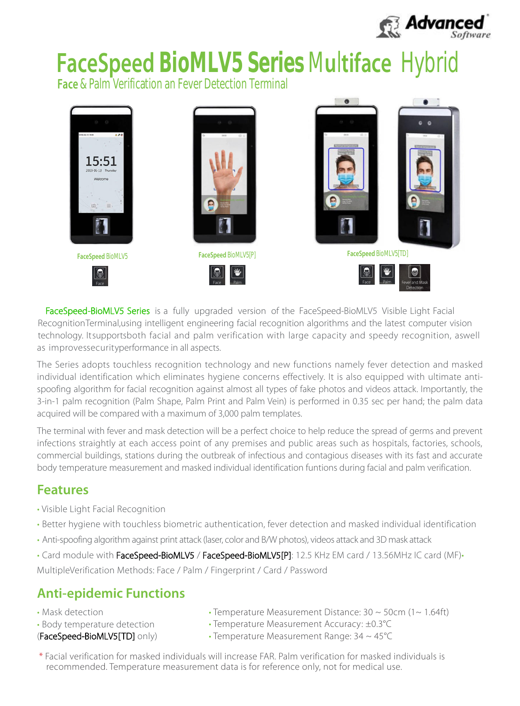

# **FaceSpeed BioMLV5 Series** M**u**l**tiface** Hybrid

**Face** & Palm Verification an Fever Detection Terminal



as improvessecurityperformance in all aspects. technology. Itsupportsboth facial and palm verification with large capacity and speedy recognition, aswell RecognitionTerminal,using intelligent engineering facial recognition algorithms and the latest computer vision FaceSpeed-BioMLV5 Series is a fully upgraded version of the FaceSpeed-BioMLV5 Visible Light Facial

acquired will be compared with a maximum of 3,000 palm templates. 3-in-1 palm recognition (Palm Shape, Palm Print and Palm Vein) is performed in 0.35 sec per hand; the palm data spoofing algorithm for facial recognition against almost all types of fake photos and videos attack. Importantly, the individual identification which eliminates hygiene concerns effectively. It is also equipped with ultimate anti-The Series adopts touchless recognition technology and new functions namely fever detection and masked

body temperature measurement and masked individual identification funtions during facial and palm verification. commercial buildings, stations during the outbreak of infectious and contagious diseases with its fast and accurate infections straightly at each access point of any premises and public areas such as hospitals, factories, schools, The terminal with fever and mask detection will be a perfect choice to help reduce the spread of germs and prevent

#### **Features**

- **·** Visible Light Facial Recognition
- **·** Better hygiene with touchless biometric authentication, fever detection and masked individual identification
- **·** Anti-spoofing algorithm against print attack (laser, color and B/W photos), videos attack and 3D mask attack
- **·** Card module with FaceSpeed-BioMLV5 / FaceSpeed-BioMLV5[P]: 12.5 KHz EM card / 13.56MHz IC card (MF)**·**
- MultipleVerification Methods: Face / Palm / Fingerprint / Card / Password

#### **Anti-epidemic Functions**

- **·** Mask detection
- **·** Body temperature detection
- (FaceSpeed-BioMLV5[TD] only)
- **·** Temperature Measurement Distance: 30 ~ 50cm (1~ 1.64ft)
- **·** Temperature Measurement Accuracy: ±0.3°C
- **·** Temperature Measurement Range: 34 ~ 45°C
- \* Facial verification for masked individuals will increase FAR. Palm verification for masked individuals is recommended. Temperature measurement data is for reference only, not for medical use.